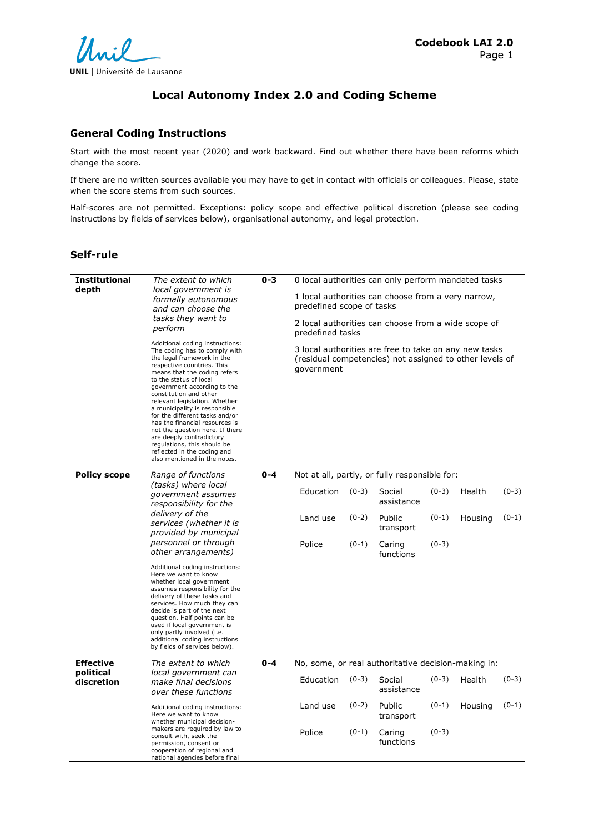# **Local Autonomy Index 2.0 and Coding Scheme**

### **General Coding Instructions**

Start with the most recent year (2020) and work backward. Find out whether there have been reforms which change the score.

If there are no written sources available you may have to get in contact with officials or colleagues. Please, state when the score stems from such sources.

Half-scores are not permitted. Exceptions: policy scope and effective political discretion (please see coding instructions by fields of services below), organisational autonomy, and legal protection.

## **Self-rule**

| <b>Institutional</b><br>depth | The extent to which<br>local government is<br>formally autonomous<br>and can choose the<br>tasks they want to<br>perform<br>Additional coding instructions:<br>The coding has to comply with<br>the legal framework in the<br>respective countries. This<br>means that the coding refers<br>to the status of local<br>government according to the<br>constitution and other<br>relevant legislation. Whether<br>a municipality is responsible<br>for the different tasks and/or<br>has the financial resources is<br>not the question here. If there<br>are deeply contradictory<br>regulations, this should be<br>reflected in the coding and<br>also mentioned in the notes. | $0 - 3$                                                  | predefined scope of tasks<br>predefined tasks<br>government |         | 0 local authorities can only perform mandated tasks<br>1 local authorities can choose from a very narrow,<br>2 local authorities can choose from a wide scope of<br>3 local authorities are free to take on any new tasks<br>(residual competencies) not assigned to other levels of |         |         |         |
|-------------------------------|--------------------------------------------------------------------------------------------------------------------------------------------------------------------------------------------------------------------------------------------------------------------------------------------------------------------------------------------------------------------------------------------------------------------------------------------------------------------------------------------------------------------------------------------------------------------------------------------------------------------------------------------------------------------------------|----------------------------------------------------------|-------------------------------------------------------------|---------|--------------------------------------------------------------------------------------------------------------------------------------------------------------------------------------------------------------------------------------------------------------------------------------|---------|---------|---------|
| <b>Policy scope</b>           | Range of functions                                                                                                                                                                                                                                                                                                                                                                                                                                                                                                                                                                                                                                                             | $0 - 4$<br>Not at all, partly, or fully responsible for: |                                                             |         |                                                                                                                                                                                                                                                                                      |         |         |         |
|                               | (tasks) where local<br><i>government assumes</i><br>responsibility for the<br>delivery of the<br>services (whether it is<br>provided by municipal                                                                                                                                                                                                                                                                                                                                                                                                                                                                                                                              |                                                          | Education                                                   | $(0-3)$ | Social<br>assistance                                                                                                                                                                                                                                                                 | $(0-3)$ | Health  | $(0-3)$ |
|                               |                                                                                                                                                                                                                                                                                                                                                                                                                                                                                                                                                                                                                                                                                |                                                          | Land use                                                    | $(0-2)$ | Public<br>transport                                                                                                                                                                                                                                                                  | $(0-1)$ | Housing | $(0-1)$ |
|                               | personnel or through<br>other arrangements)                                                                                                                                                                                                                                                                                                                                                                                                                                                                                                                                                                                                                                    |                                                          | Police                                                      | $(0-1)$ | Caring<br>functions                                                                                                                                                                                                                                                                  | $(0-3)$ |         |         |
|                               | Additional coding instructions:<br>Here we want to know<br>whether local government<br>assumes responsibility for the<br>delivery of these tasks and<br>services. How much they can<br>decide is part of the next<br>question. Half points can be<br>used if local government is<br>only partly involved (i.e.<br>additional coding instructions<br>by fields of services below).                                                                                                                                                                                                                                                                                              |                                                          |                                                             |         |                                                                                                                                                                                                                                                                                      |         |         |         |
| <b>Effective</b><br>political | The extent to which<br>local government can                                                                                                                                                                                                                                                                                                                                                                                                                                                                                                                                                                                                                                    | $0 - 4$                                                  |                                                             |         | No, some, or real authoritative decision-making in:                                                                                                                                                                                                                                  |         |         |         |
| discretion                    | make final decisions<br>over these functions                                                                                                                                                                                                                                                                                                                                                                                                                                                                                                                                                                                                                                   |                                                          | Education                                                   | $(0-3)$ | Social<br>assistance                                                                                                                                                                                                                                                                 | $(0-3)$ | Health  | $(0-3)$ |
|                               | Additional coding instructions:<br>Here we want to know<br>whether municipal decision-                                                                                                                                                                                                                                                                                                                                                                                                                                                                                                                                                                                         |                                                          | Land use                                                    | $(0-2)$ | Public<br>transport                                                                                                                                                                                                                                                                  | $(0-1)$ | Housing | $(0-1)$ |
|                               | makers are required by law to<br>consult with, seek the<br>permission, consent or<br>cooperation of regional and<br>national agencies before final                                                                                                                                                                                                                                                                                                                                                                                                                                                                                                                             |                                                          | Police                                                      | $(0-1)$ | Caring<br>functions                                                                                                                                                                                                                                                                  | $(0-3)$ |         |         |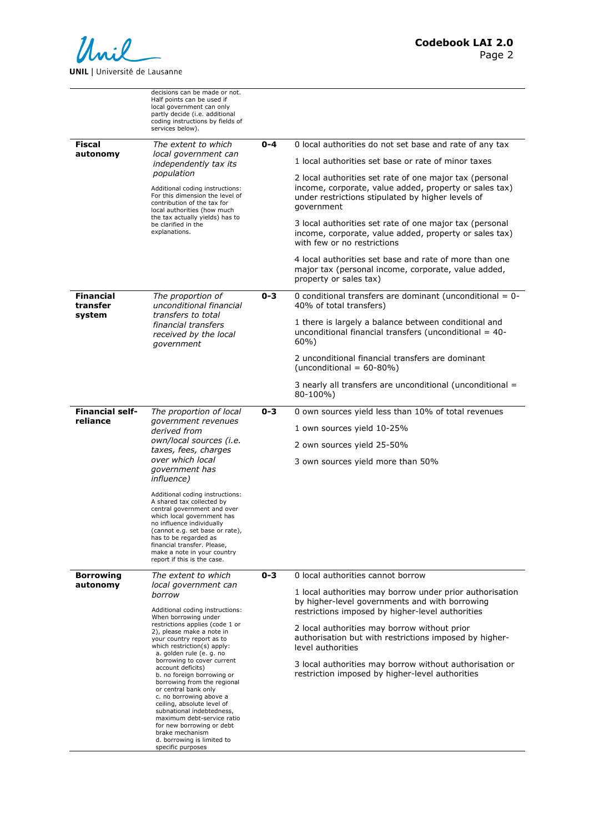

|                              | decisions can be made or not.<br>Half points can be used if<br>local government can only<br>partly decide (i.e. additional<br>coding instructions by fields of<br>services below).                                                                                                                                                                                                                                                                                                                                                                                                       |         |                                                                                                                                                                                      |
|------------------------------|------------------------------------------------------------------------------------------------------------------------------------------------------------------------------------------------------------------------------------------------------------------------------------------------------------------------------------------------------------------------------------------------------------------------------------------------------------------------------------------------------------------------------------------------------------------------------------------|---------|--------------------------------------------------------------------------------------------------------------------------------------------------------------------------------------|
| Fiscal<br>autonomy           | The extent to which<br>local government can<br>independently tax its<br>population<br>Additional coding instructions:<br>For this dimension the level of<br>contribution of the tax for<br>local authorities (how much<br>the tax actually yields) has to<br>be clarified in the<br>explanations.                                                                                                                                                                                                                                                                                        | $0 - 4$ | 0 local authorities do not set base and rate of any tax                                                                                                                              |
|                              |                                                                                                                                                                                                                                                                                                                                                                                                                                                                                                                                                                                          |         | 1 local authorities set base or rate of minor taxes                                                                                                                                  |
|                              |                                                                                                                                                                                                                                                                                                                                                                                                                                                                                                                                                                                          |         | 2 local authorities set rate of one major tax (personal<br>income, corporate, value added, property or sales tax)<br>under restrictions stipulated by higher levels of<br>government |
|                              |                                                                                                                                                                                                                                                                                                                                                                                                                                                                                                                                                                                          |         | 3 local authorities set rate of one major tax (personal<br>income, corporate, value added, property or sales tax)<br>with few or no restrictions                                     |
|                              |                                                                                                                                                                                                                                                                                                                                                                                                                                                                                                                                                                                          |         | 4 local authorities set base and rate of more than one<br>major tax (personal income, corporate, value added,<br>property or sales tax)                                              |
| <b>Financial</b><br>transfer | The proportion of<br>unconditional financial<br>transfers to total<br>financial transfers<br>received by the local<br>government                                                                                                                                                                                                                                                                                                                                                                                                                                                         | $0 - 3$ | 0 conditional transfers are dominant (unconditional $= 0$ -<br>40% of total transfers)                                                                                               |
| system                       |                                                                                                                                                                                                                                                                                                                                                                                                                                                                                                                                                                                          |         | 1 there is largely a balance between conditional and<br>unconditional financial transfers (unconditional $=$ 40-<br>60%                                                              |
|                              |                                                                                                                                                                                                                                                                                                                                                                                                                                                                                                                                                                                          |         | 2 unconditional financial transfers are dominant<br>(unconditional = $60-80%$ )                                                                                                      |
|                              |                                                                                                                                                                                                                                                                                                                                                                                                                                                                                                                                                                                          |         | 3 nearly all transfers are unconditional (unconditional =<br>80-100%)                                                                                                                |
| <b>Financial self-</b>       | The proportion of local<br><i>government revenues</i><br>derived from<br>own/local sources (i.e.<br>taxes, fees, charges<br>over which local<br>government has<br><i>influence</i> )<br>Additional coding instructions:<br>A shared tax collected by<br>central government and over<br>which local government has<br>no influence individually<br>(cannot e.g. set base or rate),<br>has to be regarded as<br>financial transfer. Please,<br>make a note in your country<br>report if this is the case.                                                                                  | $0 - 3$ | 0 own sources yield less than 10% of total revenues                                                                                                                                  |
| reliance                     |                                                                                                                                                                                                                                                                                                                                                                                                                                                                                                                                                                                          |         | 1 own sources yield 10-25%                                                                                                                                                           |
|                              |                                                                                                                                                                                                                                                                                                                                                                                                                                                                                                                                                                                          |         | 2 own sources yield 25-50%                                                                                                                                                           |
|                              |                                                                                                                                                                                                                                                                                                                                                                                                                                                                                                                                                                                          |         | 3 own sources yield more than 50%                                                                                                                                                    |
|                              |                                                                                                                                                                                                                                                                                                                                                                                                                                                                                                                                                                                          |         |                                                                                                                                                                                      |
| <b>Borrowing</b>             | The extent to which<br>local government can                                                                                                                                                                                                                                                                                                                                                                                                                                                                                                                                              | $0 - 3$ | 0 local authorities cannot borrow                                                                                                                                                    |
| autonomy                     | borrow<br>Additional coding instructions:<br>When borrowing under<br>restrictions applies (code 1 or<br>2), please make a note in<br>your country report as to<br>which restriction(s) apply:<br>a. golden rule (e. g. no<br>borrowing to cover current<br>account deficits)<br>b. no foreign borrowing or<br>borrowing from the regional<br>or central bank only<br>c. no borrowing above a<br>ceiling, absolute level of<br>subnational indebtedness,<br>maximum debt-service ratio<br>for new borrowing or debt<br>brake mechanism<br>d. borrowing is limited to<br>specific purposes |         | 1 local authorities may borrow under prior authorisation<br>by higher-level governments and with borrowing<br>restrictions imposed by higher-level authorities                       |
|                              |                                                                                                                                                                                                                                                                                                                                                                                                                                                                                                                                                                                          |         | 2 local authorities may borrow without prior<br>authorisation but with restrictions imposed by higher-<br>level authorities                                                          |
|                              |                                                                                                                                                                                                                                                                                                                                                                                                                                                                                                                                                                                          |         | 3 local authorities may borrow without authorisation or<br>restriction imposed by higher-level authorities                                                                           |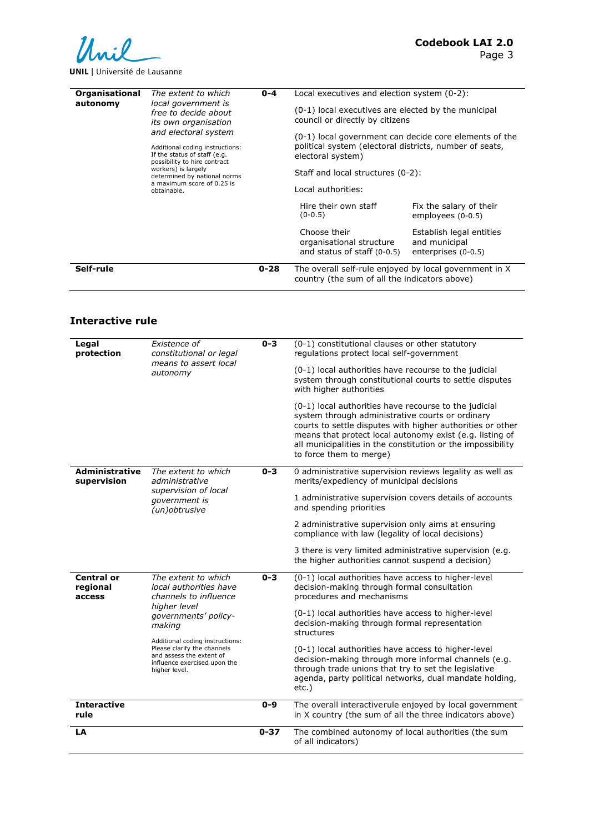

## **UNIL** | Université de Lausanne

| Organisational<br>The extent to which<br>local government is<br>autonomy<br>free to decide about<br>its own organisation<br>and electoral system<br>Additional coding instructions:<br>If the status of staff (e.g.<br>possibility to hire contract<br>workers) is largely<br>determined by national norms<br>a maximum score of 0.25 is<br>obtainable. |  | $0 - 4$            | Local executives and election system (0-2):<br>(0-1) local executives are elected by the municipal<br>council or directly by citizens<br>(0-1) local government can decide core elements of the<br>political system (electoral districts, number of seats,<br>electoral system)<br>Staff and local structures (0-2): |                                                                  |  |
|---------------------------------------------------------------------------------------------------------------------------------------------------------------------------------------------------------------------------------------------------------------------------------------------------------------------------------------------------------|--|--------------------|----------------------------------------------------------------------------------------------------------------------------------------------------------------------------------------------------------------------------------------------------------------------------------------------------------------------|------------------------------------------------------------------|--|
|                                                                                                                                                                                                                                                                                                                                                         |  | Local authorities: |                                                                                                                                                                                                                                                                                                                      |                                                                  |  |
|                                                                                                                                                                                                                                                                                                                                                         |  |                    | Hire their own staff<br>$(0-0.5)$                                                                                                                                                                                                                                                                                    | Fix the salary of their<br>employees $(0-0.5)$                   |  |
|                                                                                                                                                                                                                                                                                                                                                         |  |                    | Choose their<br>organisational structure<br>and status of staff $(0-0.5)$                                                                                                                                                                                                                                            | Establish legal entities<br>and municipal<br>enterprises (0-0.5) |  |
| Self-rule                                                                                                                                                                                                                                                                                                                                               |  | $0 - 28$           | The overall self-rule enjoyed by local government in X<br>country (the sum of all the indicators above)                                                                                                                                                                                                              |                                                                  |  |

## **Interactive rule**

| Legal<br>protection                     | Existence of<br>constitutional or legal<br>means to assert local<br>autonomy                                                                                                                                                                                            | $0 - 3$  | (0-1) constitutional clauses or other statutory<br>regulations protect local self-government<br>(0-1) local authorities have recourse to the judicial<br>system through constitutional courts to settle disputes<br>with higher authorities<br>(0-1) local authorities have recourse to the judicial<br>system through administrative courts or ordinary<br>courts to settle disputes with higher authorities or other<br>means that protect local autonomy exist (e.g. listing of<br>all municipalities in the constitution or the impossibility<br>to force them to merge) |
|-----------------------------------------|-------------------------------------------------------------------------------------------------------------------------------------------------------------------------------------------------------------------------------------------------------------------------|----------|------------------------------------------------------------------------------------------------------------------------------------------------------------------------------------------------------------------------------------------------------------------------------------------------------------------------------------------------------------------------------------------------------------------------------------------------------------------------------------------------------------------------------------------------------------------------------|
| <b>Administrative</b><br>supervision    | The extent to which<br>administrative<br>supervision of local<br>government is<br>(un) obtrusive                                                                                                                                                                        | $0 - 3$  | 0 administrative supervision reviews legality as well as<br>merits/expediency of municipal decisions<br>1 administrative supervision covers details of accounts<br>and spending priorities<br>2 administrative supervision only aims at ensuring<br>compliance with law (legality of local decisions)<br>3 there is very limited administrative supervision (e.g.<br>the higher authorities cannot suspend a decision)                                                                                                                                                       |
| <b>Central or</b><br>regional<br>access | The extent to which<br>local authorities have<br>channels to influence<br>higher level<br>governments' policy-<br>making<br>Additional coding instructions:<br>Please clarify the channels<br>and assess the extent of<br>influence exercised upon the<br>higher level. | $0 - 3$  | (0-1) local authorities have access to higher-level<br>decision-making through formal consultation<br>procedures and mechanisms<br>(0-1) local authorities have access to higher-level<br>decision-making through formal representation<br>structures<br>(0-1) local authorities have access to higher-level<br>decision-making through more informal channels (e.g.<br>through trade unions that try to set the legislative<br>agenda, party political networks, dual mandate holding,<br>$etc.$ )                                                                          |
| <b>Interactive</b><br>rule              |                                                                                                                                                                                                                                                                         | $0 - 9$  | The overall interactiverule enjoyed by local government<br>in X country (the sum of all the three indicators above)                                                                                                                                                                                                                                                                                                                                                                                                                                                          |
| LA                                      |                                                                                                                                                                                                                                                                         | $0 - 37$ | The combined autonomy of local authorities (the sum<br>of all indicators)                                                                                                                                                                                                                                                                                                                                                                                                                                                                                                    |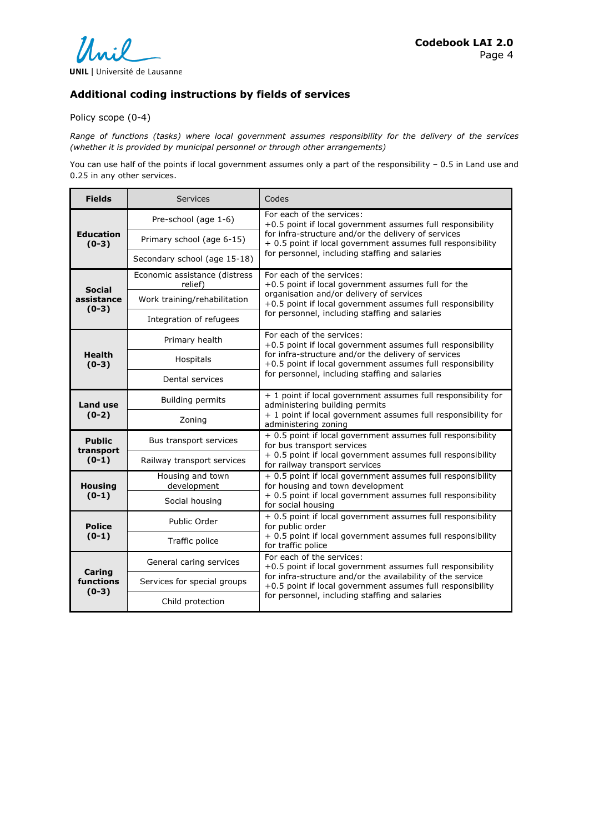

## **Additional coding instructions by fields of services**

Policy scope (0-4)

*Range of functions (tasks) where local government assumes responsibility for the delivery of the services (whether it is provided by municipal personnel or through other arrangements)*

You can use half of the points if local government assumes only a part of the responsibility – 0.5 in Land use and 0.25 in any other services.

| <b>Fields</b>                          | <b>Services</b>                          | Codes                                                                                                                    |
|----------------------------------------|------------------------------------------|--------------------------------------------------------------------------------------------------------------------------|
| <b>Education</b><br>$(0-3)$            | Pre-school (age 1-6)                     | For each of the services:<br>+0.5 point if local government assumes full responsibility                                  |
|                                        | Primary school (age 6-15)                | for infra-structure and/or the delivery of services<br>+ 0.5 point if local government assumes full responsibility       |
|                                        | Secondary school (age 15-18)             | for personnel, including staffing and salaries                                                                           |
| <b>Social</b><br>assistance<br>$(0-3)$ | Economic assistance (distress<br>relief) | For each of the services:<br>+0.5 point if local government assumes full for the                                         |
|                                        | Work training/rehabilitation             | organisation and/or delivery of services<br>+0.5 point if local government assumes full responsibility                   |
|                                        | Integration of refugees                  | for personnel, including staffing and salaries                                                                           |
| <b>Health</b><br>$(0-3)$               | Primary health                           | For each of the services:<br>+0.5 point if local government assumes full responsibility                                  |
|                                        | Hospitals                                | for infra-structure and/or the delivery of services<br>+0.5 point if local government assumes full responsibility        |
|                                        | Dental services                          | for personnel, including staffing and salaries                                                                           |
| Land use<br>$(0-2)$                    | <b>Building permits</b>                  | + 1 point if local government assumes full responsibility for<br>administering building permits                          |
|                                        | Zoning                                   | + 1 point if local government assumes full responsibility for<br>administering zoning                                    |
| <b>Public</b><br>transport<br>$(0-1)$  | Bus transport services                   | + 0.5 point if local government assumes full responsibility<br>for bus transport services                                |
|                                        | Railway transport services               | + 0.5 point if local government assumes full responsibility<br>for railway transport services                            |
| <b>Housing</b><br>$(0-1)$              | Housing and town<br>development          | + 0.5 point if local government assumes full responsibility<br>for housing and town development                          |
|                                        | Social housing                           | + 0.5 point if local government assumes full responsibility<br>for social housing                                        |
| <b>Police</b><br>$(0-1)$               | Public Order                             | + 0.5 point if local government assumes full responsibility<br>for public order                                          |
|                                        | Traffic police                           | + 0.5 point if local government assumes full responsibility<br>for traffic police                                        |
| Caring<br>functions<br>$(0-3)$         | General caring services                  | For each of the services:<br>+0.5 point if local government assumes full responsibility                                  |
|                                        | Services for special groups              | for infra-structure and/or the availability of the service<br>+0.5 point if local government assumes full responsibility |
|                                        | Child protection                         | for personnel, including staffing and salaries                                                                           |